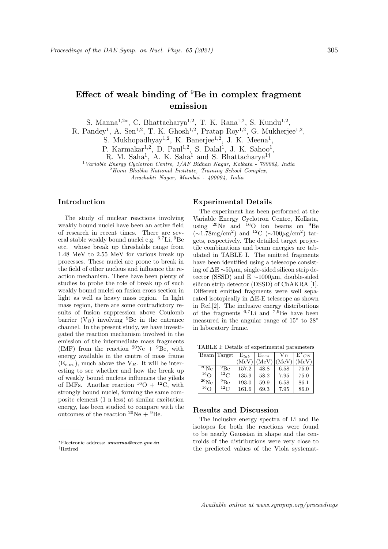# Effect of weak binding of  ${}^{9}$ Be in complex fragment emission

S. Manna<sup>1,2\*</sup>, C. Bhattacharya<sup>1,2</sup>, T. K. Rana<sup>1,2</sup>, S. Kundu<sup>1,2</sup>,

R. Pandey<sup>1</sup>, A. Sen<sup>1,2</sup>, T. K. Ghosh<sup>1,2</sup>, Pratap Roy<sup>1,2</sup>, G. Mukherjee<sup>1,2</sup>,

S. Mukhopadhyay<sup>1,2</sup>, K. Banerjee<sup>1,2</sup>, J. K. Meena<sup>1</sup>,

P. Karmakar<sup>1,2</sup>, D. Paul<sup>1,2</sup>, S. Dalal<sup>1</sup>, J. K. Sahoo<sup>1</sup>,

R. M. Saha<sup>1</sup>, A. K. Saha<sup>1</sup> and S. Bhattacharya<sup>1†</sup>

<sup>1</sup> Variable Energy Cyclotron Centre, 1/AF Bidhan Nagar, Kolkata - 700064, India

 $2$ Homi Bhabha National Institute, Training School Complex,

Anushakti Nagar, Mumbai - 400094, India

# Introduction

The study of nuclear reactions involving weakly bound nuclei have been an active field of research in recent times. There are several stable weakly bound nuclei e.g. <sup>6</sup>,7Li, <sup>9</sup>Be etc. whose break up thresholds range from 1.48 MeV to 2.55 MeV for various break up processes. These nuclei are prone to break in the field of other nucleus and influence the reaction mechanism. There have been plenty of studies to probe the role of break up of such weakly bound nuclei on fusion cross section in light as well as heavy mass region. In light mass region, there are some contradictory results of fusion suppression above Coulomb barrier  $(V_B)$  involving <sup>9</sup>Be in the entrance channel. In the present study, we have investigated the reaction mechanism involved in the emission of the intermediate mass fragments (IMF) from the reaction  $^{20}Ne + ^{9}Be$ , with energy available in the centre of mass frame  $(E<sub>c</sub>, m)$ , much above the V<sub>B</sub>. It will be interesting to see whether and how the break up of weakly bound nucleus influences the yileds of IMFs. Another reaction  ${}^{16}O + {}^{12}C$ , with strongly bound nuclei, forming the same composite element (1 n less) at similar excitation energy, has been studied to compare with the outcomes of the reaction  ${}^{20}\text{Ne} + {}^{9}\text{Be}$ .

#### Experimental Details

The experiment has been performed at the Variable Energy Cyclotron Centre, Kolkata, using  $^{20}$ Ne and  $^{16}$ O ion beams on  $^{9}$ Be (∼1.78mg/cm<sup>2</sup> ) and <sup>12</sup>C (∼100µg/cm<sup>2</sup> ) targets, respectively. The detailed target projectile combinations and beam energies are tabulated in TABLE I. The emitted fragments have been identified using a telescope consisting of ∆E ∼50µm, single-sided silicon strip detector (SSSD) and E ~1000 $\mu$ m, double-sided silicon strip detector (DSSD) of ChAKRA [1]. Different emitted fragments were well separated isotopically in ∆E-E telescope as shown in Ref.[2]. The inclusive energy distributions of the fragments  $^{6,7}$ Li and  $^{7,9}$ Be have been measured in the angular range of 15◦ to 28◦ in laboratory frame.

TABLE I: Details of experimental parameters

|            | Beam Target     | $E_{lab}$ | $E_{c.m.}$ | V R   | $E^*_{CN}$ |
|------------|-----------------|-----------|------------|-------|------------|
|            |                 | (MeV)     | (MeV)      | (MeV) | (MeV)      |
| $^{20}$ Ne | <sup>9</sup> Be | 157.2     | 48.8       | 6.58  | 75.0       |
| $16\Omega$ | $^{12}$ C       | 135.9     | 58.2       | 7.95  | 75.0       |
| $^{20}$ Ne | $^{9}$ Be       | 193.0     | 59.9       | 6.58  | 86.1       |
| $16\Omega$ | $^{12}$ C       | 161.6     | 69.3       | 7.95  | 86.0       |

# Results and Discussion

The inclusive energy spectra of Li and Be isotopes for both the reactions were found to be nearly Gaussian in shape and the centroids of the distributions were very close to the predicted values of the Viola systemat-

<sup>∗</sup>Electronic address: smanna@vecc.gov.in †Retired